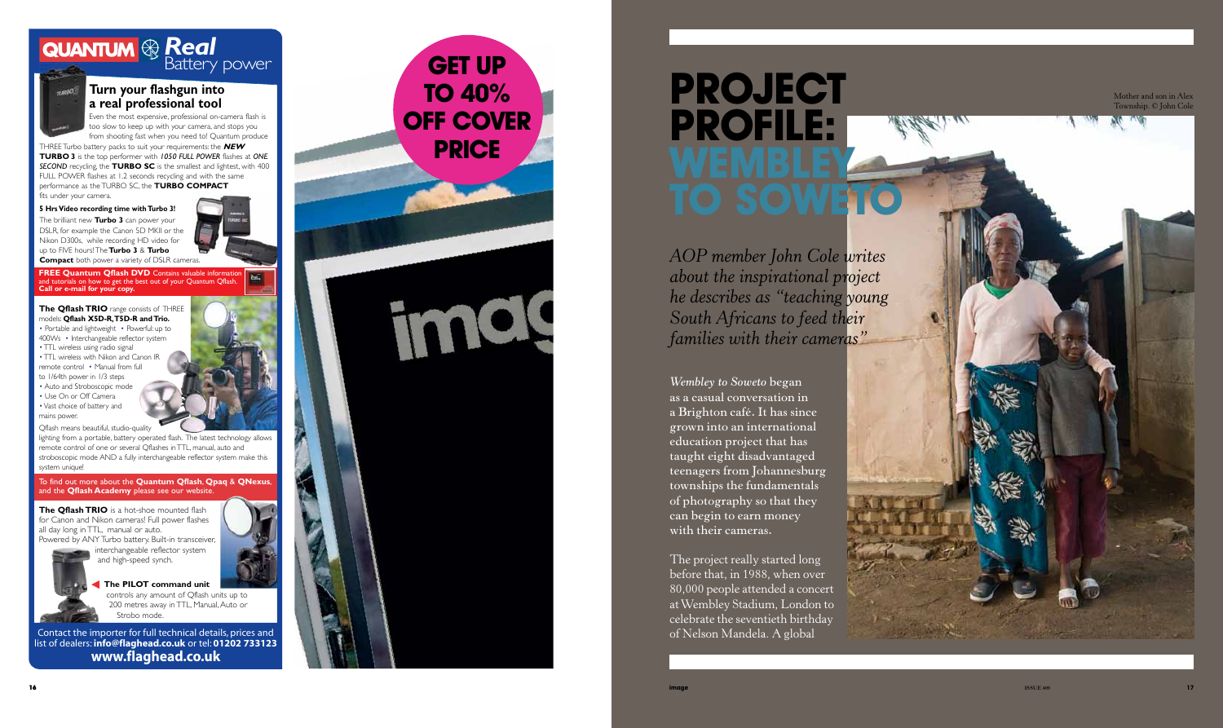Mother and son in Alex Township. © John Cole



To find out more about the **Quantum Qflash**, **Qpaq** & **QNexus**, and the **Qflash Academy** please see our website.

**FREE Quantum Qflash DVD** Contains valuable information and tutorials on how to get the best out of your Quantum Qflash. **Call or e-mail for your copy.**

## **Turn your flashgun into a real professional tool**

Even the most expensive, professional on-camera flash is too slow to keep up with your camera, and stops you from shooting fast when you need to! Quantum produce

**The Qflash TRIO** is a hot-shoe mounted flash for Canon and Nikon cameras! Full power flashes all day long in TTL, manual or auto. Powered by ANY Turbo battery. Built-in transceiver,



THREE Turbo battery packs to suit your requirements: the **NEW TURBO 3** is the top performer with *1050 FULL POWER* flashes at *ONE*  **SECOND** recycling, the **TURBO SC** is the smallest and lightest, with 400 FULL POWER flashes at 1.2 seconds recycling and with the same performance as the TURBO SC, the **TURBO COMPACT**  fits under your camera.

- TTL wireless using radio signal
- TTL wireless with Nikon and Canon IR
- remote control Manual from full
- to 1/64th power in 1/3 steps • Auto and Stroboscopic mode
- Use On or Off Camera
- Vast choice of battery and
- mains power.

### **5 Hrs Video recording time with Turbo 3!**

The brilliant new **Turbo 3** can power your DSLR, for example the Canon 5D MKII or the Nikon D300s, while recording HD video for up to FIVE hours! The **Turbo 3** & **Turbo Compact** both power a variety of DSLR cameras.



#### **The Qflash TRIO** range consists of THREE models: **Qflash X5D-R, T5D-R and Trio.**

• Portable and lightweight • Powerful: up to 400Ws • Interchangeable reflector system

> interchangeable reflector system and high-speed synch. **The PILOT command unit**

Qflash means beautiful, studio-quality

lighting from a portable, battery operated flash. The latest technology allows remote control of one or several Qflashes in TTL, manual, auto and stroboscopic mode AND a fully interchangeable reflector system make this system unique!

> controls any amount of Qflash units up to 200 metres away in TTL, Manual, Auto or Strobo mode.

## *Real*

Battery power



Contact the importer for full technical details, prices and list of dealers: **info@flaghead.co.uk** or tel: **01202 733123 www.flaghead.co.uk**



## **P ROJEC T P ROF ILE: WEMBLEY**<br>TO SOWET **O**

*AOP member John Cole writes about the inspirational project he describes as "teaching young South Africans to feed their families with their cameras"*

*Wembley to Soweto* **began as a casual conversation in a Brighton café. It has since grown into an international education project that has taught eight disadvantaged teenagers from Johannesburg townships the fundamentals of photography so that they can begin to earn money with their cameras.**

The project really started long before that, in 1988, when over 80,000 people attended a concert at Wembley Stadium, London to celebrate the seventieth birthday of Nelson Mandela. A global

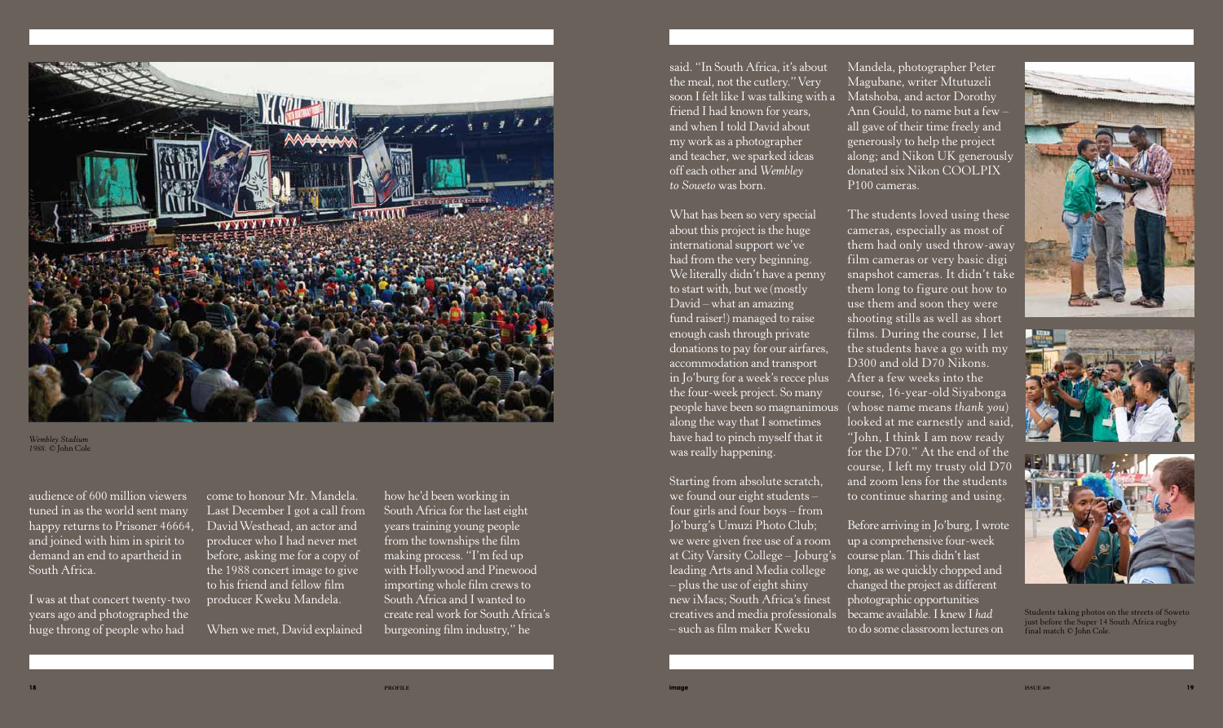



audience of 600 million viewers tuned in as the world sent many happy returns to Prisoner 46664, and joined with him in spirit to demand an end to apartheid in South Africa.

I was at that concert twenty-two years ago and photographed the huge throng of people who had

come to honour Mr. Mandela. Last December I got a call from David Westhead, an actor and producer who I had never met before, asking me for a copy of the 1988 concert image to give to his friend and fellow film producer Kweku Mandela.

When we met, David explained

how he'd been working in South Africa for the last eight years training young people from the townships the film making process. "I'm fed up with Hollywood and Pinewood importing whole film crews to South Africa and I wanted to create real work for South Africa's burgeoning film industry," he

said. "In South Africa, it's about the meal, not the cutlery." Very soon I felt like I was talking with a friend I had known for years, and when I told David about my work as a photographer and teacher, we sparked ideas off each other and *Wembley to Soweto* was born.

What has been so very special about this project is the huge international support we've had from the very beginning. We literally didn't have a penny to start with, but we (mostly David – what an amazing fund raiser!) managed to raise enough cash through private donations to pay for our airfares, accommodation and transport in Jo'burg for a week's recce plus the four-week project. So many people have been so magnanimous along the way that I sometimes have had to pinch myself that it was really happening.

Starting from absolute scratch, we found our eight students – four girls and four boys – from Jo'burg's Umuzi Photo Club; we were given free use of a room at City Varsity College – Joburg's leading Arts and Media college – plus the use of eight shiny new iMacs; South Africa's finest creatives and media professionals – such as film maker Kweku

Mandela, photographer Peter Magubane, writer Mtutuzeli Matshoba, and actor Dorothy Ann Gould, to name but a few – all gave of their time freely and generously to help the project along; and Nikon UK generously donated six Nikon COOLPIX P100 cameras.

The students loved using these cameras, especially as most of them had only used throw-away film cameras or very basic digi snapshot cameras. It didn't take them long to figure out how to use them and soon they were shooting stills as well as short films. During the course, I let the students have a go with my D300 and old D70 Nikons. After a few weeks into the course, 16-year-old Siyabonga (whose name means *thank you*) looked at me earnestly and said, "John, I think I am now ready for the D70." At the end of the course, I left my trusty old D70 and zoom lens for the students to continue sharing and using.

Before arriving in Jo'burg, I wrote up a comprehensive four-week course plan. This didn't last long, as we quickly chopped and changed the project as different photographic opportunities became available. I knew I *had* to do some classroom lectures on



Students taking photos on the streets of Soweto just before the Super 14 South Africa rugby final match © John Cole.



*Wembley Stadium 1988.* © John Cole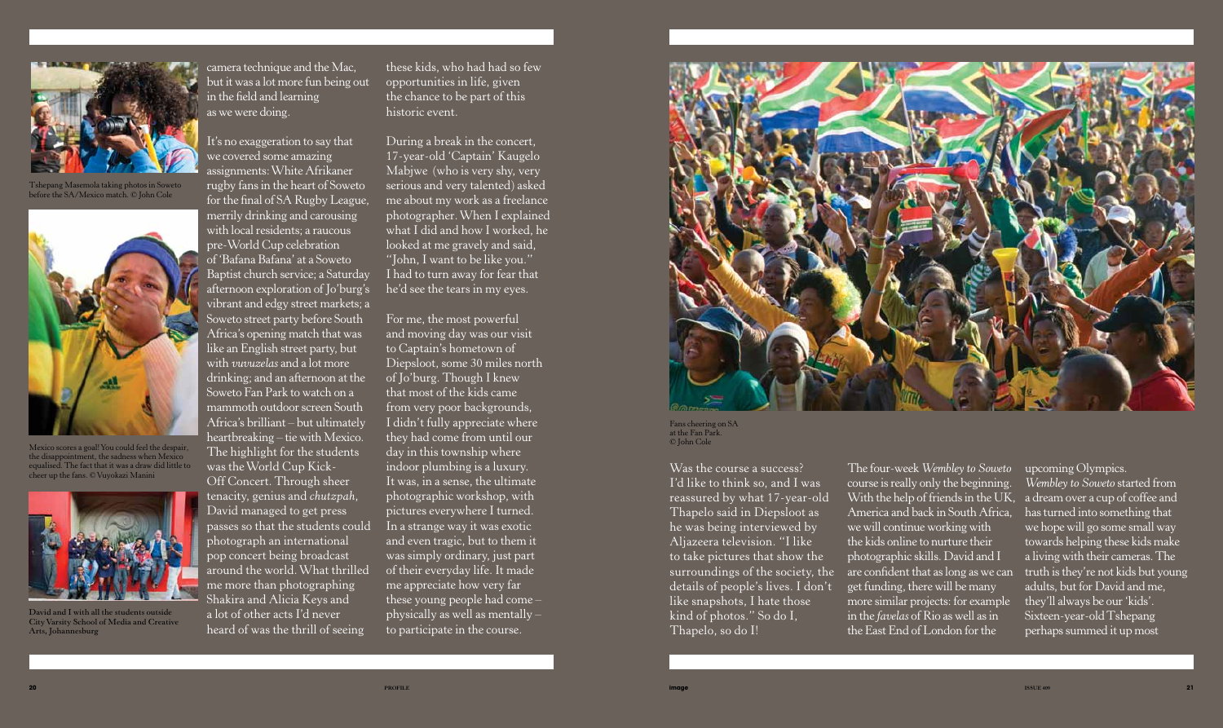camera technique and the Mac, but it was a lot more fun being out in the field and learning as we were doing.

It's no exaggeration to say that we covered some amazing assignments: White Afrikaner rugby fans in the heart of Soweto for the final of SA Rugby League, merrily drinking and carousing with local residents; a raucous pre-World Cup celebration of 'Bafana Bafana' at a Soweto Baptist church service; a Saturday afternoon exploration of Jo'burg's vibrant and edgy street markets; a Soweto street party before South Africa's opening match that was like an English street party, but with *vuvuzelas* and a lot more drinking; and an afternoon at the Soweto Fan Park to watch on a mammoth outdoor screen South Africa's brilliant – but ultimately heartbreaking – tie with Mexico. The highlight for the students was the World Cup Kick-Off Concert. Through sheer tenacity, genius and *chutzpah*, David managed to get press passes so that the students could photograph an international pop concert being broadcast around the world. What thrilled me more than photographing Shakira and Alicia Keys and a lot of other acts I'd never heard of was the thrill of seeing

these kids, who had had so few opportunities in life, given the chance to be part of this historic event.

During a break in the concert, 17-year-old 'Captain' Kaugelo Mabjwe (who is very shy, very serious and very talented) asked me about my work as a freelance photographer. When I explained what I did and how I worked, he looked at me gravely and said, "John, I want to be like you." I had to turn away for fear that he'd see the tears in my eyes.

For me, the most powerful and moving day was our visit to Captain's hometown of Diepsloot, some 30 miles north of Jo'burg. Though I knew that most of the kids came from very poor backgrounds, I didn't fully appreciate where they had come from until our day in this township where indoor plumbing is a luxury. It was, in a sense, the ultimate photographic workshop, with pictures everywhere I turned. In a strange way it was exotic and even tragic, but to them it was simply ordinary, just part of their everyday life. It made me appreciate how very far these young people had come – physically as well as mentally – to participate in the course.



Was the course a success? I'd like to think so, and I was reassured by what 17-year-old Thapelo said in Diepsloot as he was being interviewed by Aljazeera television. "I like to take pictures that show the surroundings of the society, the details of people's lives. I don't like snapshots, I hate those kind of photos." So do I, Thapelo, so do I!

The four-week *Wembley to Soweto* course is really only the beginning. With the help of friends in the  $\overline{UK}$ , America and back in South Africa, we will continue working with the kids online to nurture their photographic skills. David and I are confident that as long as we can get funding, there will be many more similar projects: for example in the *favelas* of Rio as well as in the East End of London for the upcoming Olympics. *Wembley to Soweto* started from a dream over a cup of coffee and has turned into something that we hope will go some small way towards helping these kids make a living with their cameras. The truth is they're not kids but young adults, but for David and me, they'll always be our 'kids'. Sixteen-year-old Tshepang perhaps summed it up most

Fans cheering on SA at the Fan Park. © John Cole



Tshepang Masemola taking photos in Soweto before the SA/Mexico match. © John Cole



Mexico scores a goal! You could feel the despair, the disappointment, the sadness when Mexico equalised. The fact that it was a draw did little to cheer up the fans. © Vuyokazi Manini



**David and I with all the students outside City Varsity School of Media and Creative Arts, Johannesburg**